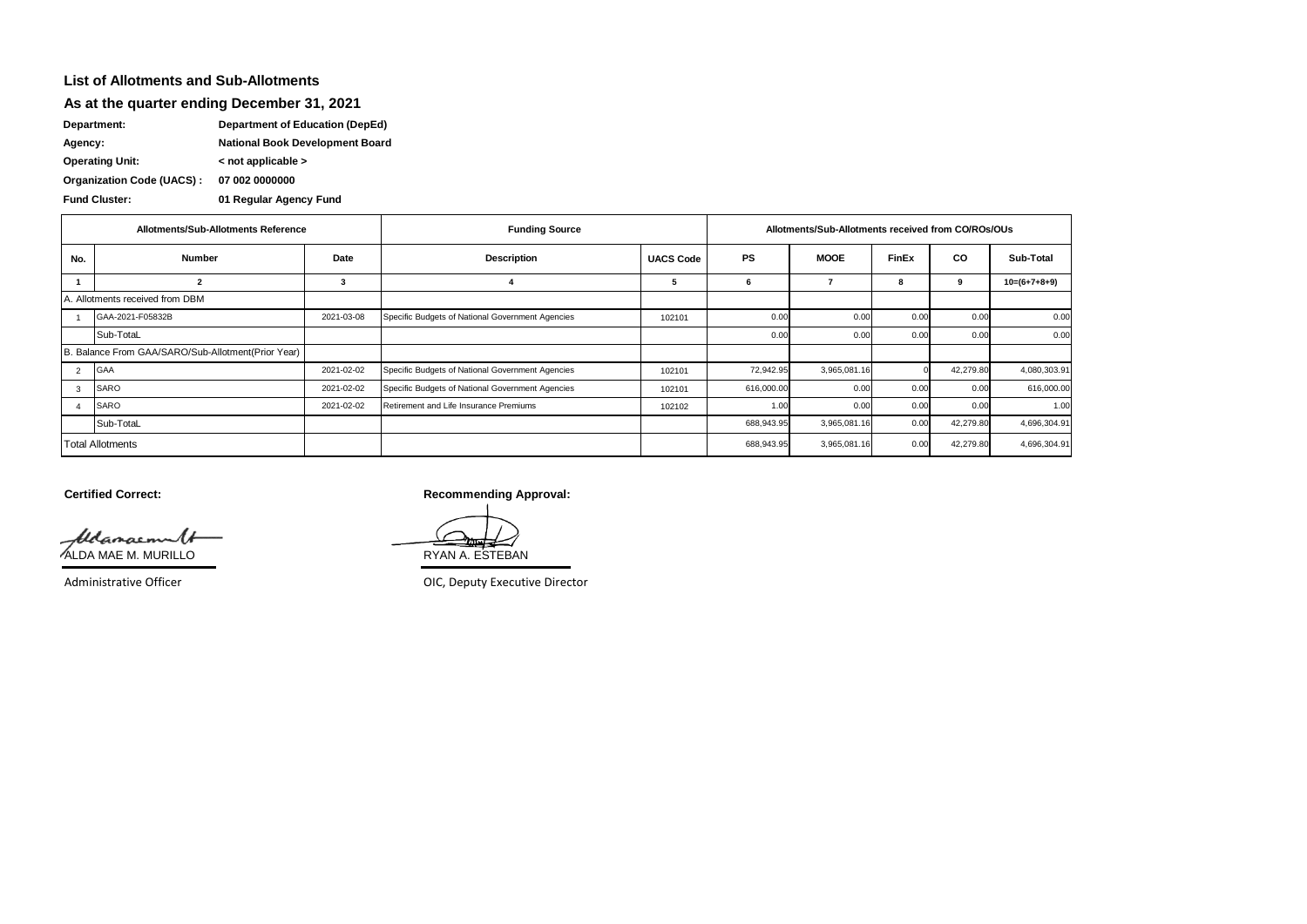## **List of Allotments and Sub-Allotments**

**As at the quarter ending December 31, 2021**

**Department: Department of Education (DepEd)**

**Agency: National Book Development Board**

**Operating Unit: < not applicable >**

**07 002 0000000 Organization Code (UACS) :**

**Fund Cluster: 01 Regular Agency Fund**

| Allotments/Sub-Allotments Reference                |                  |            | <b>Funding Source</b>                            | Allotments/Sub-Allotments received from CO/ROs/OUs |            |              |              |           |                |
|----------------------------------------------------|------------------|------------|--------------------------------------------------|----------------------------------------------------|------------|--------------|--------------|-----------|----------------|
| No.                                                | <b>Number</b>    | Date       | <b>Description</b>                               | <b>UACS Code</b>                                   | <b>PS</b>  | <b>MOOE</b>  | <b>FinEx</b> | CO        | Sub-Total      |
|                                                    |                  | 3          |                                                  |                                                    | 6          |              | 8            | 9         | $10=(6+7+8+9)$ |
| Allotments received from DBM                       |                  |            |                                                  |                                                    |            |              |              |           |                |
|                                                    | GAA-2021-F05832B | 2021-03-08 | Specific Budgets of National Government Agencies | 102101                                             | 0.00       | 0.00         | 0.00         | 0.00      | 0.00           |
|                                                    | Sub-TotaL        |            |                                                  |                                                    | 0.00       | 0.00         | 0.00         | 0.00      | 0.00           |
| B. Balance From GAA/SARO/Sub-Allotment(Prior Year) |                  |            |                                                  |                                                    |            |              |              |           |                |
|                                                    | <b>GAA</b>       | 2021-02-02 | Specific Budgets of National Government Agencies | 102101                                             | 72,942.95  | 3,965,081.16 |              | 42,279.80 | 4,080,303.91   |
| 3                                                  | <b>SARO</b>      | 2021-02-02 | Specific Budgets of National Government Agencies | 102101                                             | 616,000.00 | 0.00         | 0.00         | 0.00      | 616,000.00     |
|                                                    | SARO             | 2021-02-02 | Retirement and Life Insurance Premiums           | 102102                                             | 1.00       | 0.00         | 0.00         | 0.00      | 1.00           |
|                                                    | Sub-TotaL        |            |                                                  |                                                    | 688,943.95 | 3,965,081.16 | 0.00         | 42,279.80 | 4,696,304.91   |
| <b>Total Allotments</b>                            |                  |            |                                                  |                                                    | 688,943.95 | 3,965,081.16 | 0.00         | 42,279.80 | 4,696,304.91   |

Aldamacmun (<del>1</del> (1990)<br>ALDA MAE M. MURILLO RYAN A. ESTEBAN

**Certified Correct: Recommending Approval:** 

Administrative Officer **CES Administrative Officer** CES Administrative Officer